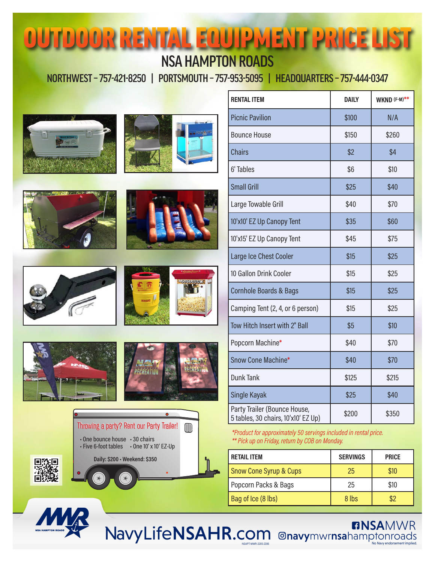## OUTDOOR RENTAL EQUIPMENT PRICE LIST NSA HAMPTON ROADS

NORTHWEST – 757-421-8250 | PORTSMOUTH – 757-953-5095 | HEADQUARTERS – 757-444-0347















| <b>RENTAL ITEM</b>                                                  | <b>DAILY</b> | WKND (F-M)** |
|---------------------------------------------------------------------|--------------|--------------|
| <b>Picnic Pavilion</b>                                              | \$100        | N/A          |
| <b>Bounce House</b>                                                 | \$150        | \$260        |
| <b>Chairs</b>                                                       | \$2          | \$4          |
| 6' Tables                                                           | \$6          | \$10         |
| <b>Small Grill</b>                                                  | \$25         | \$40         |
| Large Towable Grill                                                 | \$40         | \$70         |
| 10'x10' EZ Up Canopy Tent                                           | \$35         | \$60         |
| 10'x15' EZ Up Canopy Tent                                           | \$45         | \$75         |
| Large Ice Chest Cooler                                              | \$15         | \$25         |
| 10 Gallon Drink Cooler                                              | \$15         | \$25         |
| <b>Cornhole Boards &amp; Bags</b>                                   | \$15         | \$25         |
| Camping Tent (2, 4, or 6 person)                                    | \$15         | \$25         |
| Tow Hitch Insert with 2" Ball                                       | \$5          | \$10         |
| Popcorn Machine*                                                    | \$40         | \$70         |
| Snow Cone Machine*                                                  | \$40         | \$70         |
| <b>Dunk Tank</b>                                                    | \$125        | \$215        |
| Single Kayak                                                        | \$25         | \$40         |
| Party Trailer (Bounce House,<br>5 tables, 30 chairs, 10'x10' EZ Up) | \$200        | \$350        |

*\*Product for approximately 50 servings included in rental price. \*\* Pick up on Friday, return by COB on Monday.*

NSAPT-MWR-2205-2306

| <b>RETAIL ITEM</b>                | <b>SERVINGS</b> | <b>PRICE</b> |
|-----------------------------------|-----------------|--------------|
| <b>Snow Cone Syrup &amp; Cups</b> | 25              | \$10         |
| Popcorn Packs & Bags              | 25              | \$10         |
| Bag of Ice (8 lbs)                | 8 lbs           |              |

**ENSAMWR** 

NavyLifeNSAHR.com @navymwrnsahamptonroads